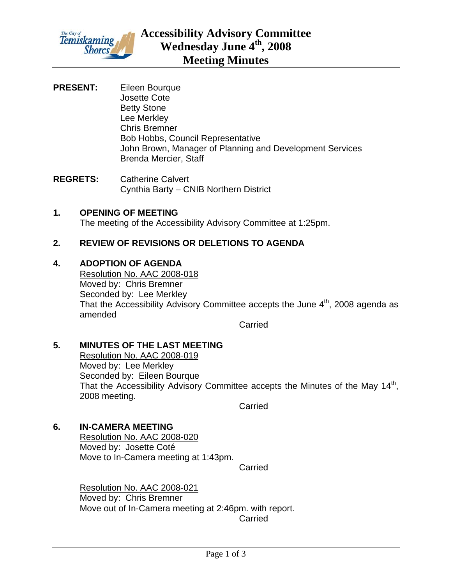

- **PRESENT:** Eileen Bourque Josette Cote Betty Stone Lee Merkley Chris Bremner Bob Hobbs, Council Representative John Brown, Manager of Planning and Development Services Brenda Mercier, Staff
- **REGRETS:** Catherine Calvert Cynthia Barty – CNIB Northern District
- **1. OPENING OF MEETING** The meeting of the Accessibility Advisory Committee at 1:25pm.

# **2. REVIEW OF REVISIONS OR DELETIONS TO AGENDA**

## **4. ADOPTION OF AGENDA**

Resolution No. AAC 2008-018 Moved by: Chris Bremner Seconded by: Lee Merkley That the Accessibility Advisory Committee accepts the June  $4<sup>th</sup>$ , 2008 agenda as amended

Carried

# **5. MINUTES OF THE LAST MEETING**

Resolution No. AAC 2008-019 Moved by: Lee Merkley Seconded by: Eileen Bourque That the Accessibility Advisory Committee accepts the Minutes of the May 14<sup>th</sup>, 2008 meeting.

**Carried** 

## **6. IN-CAMERA MEETING**

Resolution No. AAC 2008-020 Moved by: Josette Coté Move to In-Camera meeting at 1:43pm.

Carried

Resolution No. AAC 2008-021 Moved by: Chris Bremner Move out of In-Camera meeting at 2:46pm. with report. Carried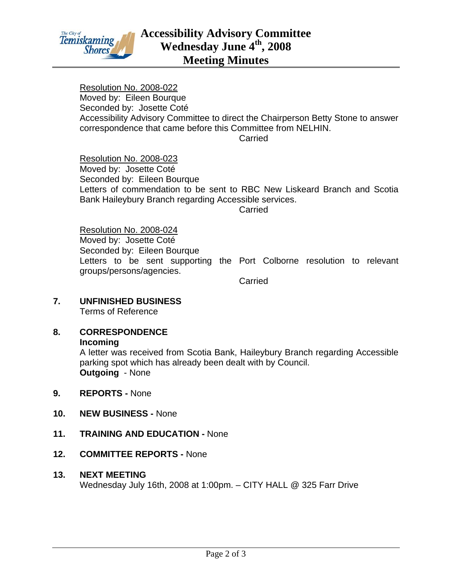

Resolution No. 2008-022 Moved by: Eileen Bourque Seconded by: Josette Coté Accessibility Advisory Committee to direct the Chairperson Betty Stone to answer correspondence that came before this Committee from NELHIN.

Carried

Resolution No. 2008-023 Moved by: Josette Coté Seconded by: Eileen Bourque Letters of commendation to be sent to RBC New Liskeard Branch and Scotia Bank Haileybury Branch regarding Accessible services.

Carried

Resolution No. 2008-024 Moved by: Josette Coté Seconded by: Eileen Bourque Letters to be sent supporting the Port Colborne resolution to relevant groups/persons/agencies.

Carried

# **7. UNFINISHED BUSINESS**

Terms of Reference

# **8. CORRESPONDENCE**

#### **Incoming**

A letter was received from Scotia Bank, Haileybury Branch regarding Accessible parking spot which has already been dealt with by Council. **Outgoing** - None

- **9. REPORTS** None
- **10. NEW BUSINESS** None
- **11. TRAINING AND EDUCATION** None
- **12. COMMITTEE REPORTS** None

## **13. NEXT MEETING**

Wednesday July 16th, 2008 at 1:00pm. – CITY HALL @ 325 Farr Drive